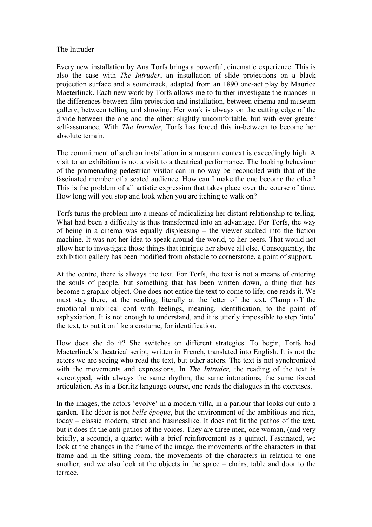## The Intruder

Every new installation by Ana Torfs brings a powerful, cinematic experience. This is also the case with *The Intruder*, an installation of slide projections on a black projection surface and a soundtrack, adapted from an 1890 one-act play by Maurice Maeterlinck. Each new work by Torfs allows me to further investigate the nuances in the differences between film projection and installation, between cinema and museum gallery, between telling and showing. Her work is always on the cutting edge of the divide between the one and the other: slightly uncomfortable, but with ever greater self-assurance. With *The Intruder*, Torfs has forced this in-between to become her absolute terrain.

The commitment of such an installation in a museum context is exceedingly high. A visit to an exhibition is not a visit to a theatrical performance. The looking behaviour of the promenading pedestrian visitor can in no way be reconciled with that of the fascinated member of a seated audience. How can I make the one become the other? This is the problem of all artistic expression that takes place over the course of time. How long will you stop and look when you are itching to walk on?

Torfs turns the problem into a means of radicalizing her distant relationship to telling. What had been a difficulty is thus transformed into an advantage. For Torfs, the way of being in a cinema was equally displeasing – the viewer sucked into the fiction machine. It was not her idea to speak around the world, to her peers. That would not allow her to investigate those things that intrigue her above all else. Consequently, the exhibition gallery has been modified from obstacle to cornerstone, a point of support.

At the centre, there is always the text. For Torfs, the text is not a means of entering the souls of people, but something that has been written down, a thing that has become a graphic object. One does not entice the text to come to life; one reads it. We must stay there, at the reading, literally at the letter of the text. Clamp off the emotional umbilical cord with feelings, meaning, identification, to the point of asphyxiation. It is not enough to understand, and it is utterly impossible to step 'into' the text, to put it on like a costume, for identification.

How does she do it? She switches on different strategies. To begin, Torfs had Maeterlinck's theatrical script, written in French, translated into English. It is not the actors we are seeing who read the text, but other actors. The text is not synchronized with the movements and expressions. In *The Intruder,* the reading of the text is stereotyped, with always the same rhythm, the same intonations, the same forced articulation. As in a Berlitz language course, one reads the dialogues in the exercises.

In the images, the actors 'evolve' in a modern villa, in a parlour that looks out onto a garden. The décor is not *belle époque*, but the environment of the ambitious and rich, today – classic modern, strict and businesslike. It does not fit the pathos of the text, but it does fit the anti-pathos of the voices. They are three men, one woman, (and very briefly, a second), a quartet with a brief reinforcement as a quintet. Fascinated, we look at the changes in the frame of the image, the movements of the characters in that frame and in the sitting room, the movements of the characters in relation to one another, and we also look at the objects in the space – chairs, table and door to the terrace.